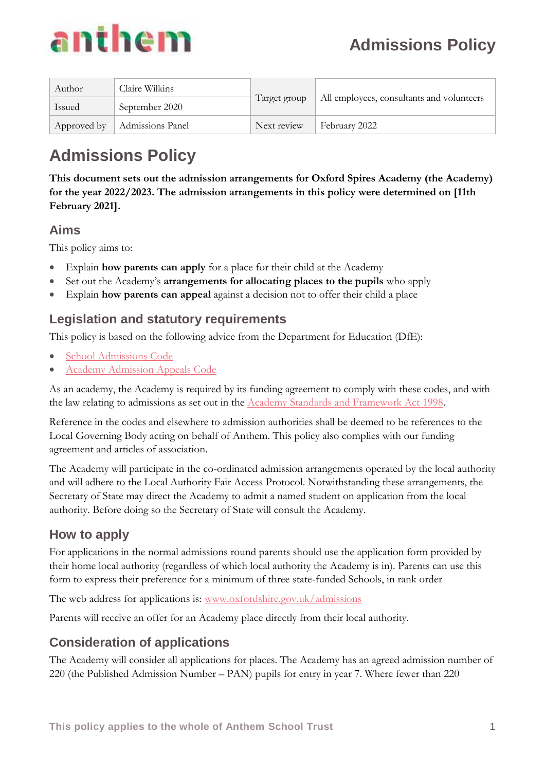

| Author | Claire Wilkins                 | Target group | All employees, consultants and volunteers |
|--------|--------------------------------|--------------|-------------------------------------------|
| Issued | September 2020                 |              |                                           |
|        | Approved by   Admissions Panel | Next review  | February 2022                             |

# **Admissions Policy**

**This document sets out the admission arrangements for Oxford Spires Academy (the Academy) for the year 2022/2023. The admission arrangements in this policy were determined on [11th February 2021].**

### **Aims**

This policy aims to:

- Explain **how parents can apply** for a place for their child at the Academy
- Set out the Academy's **arrangements for allocating places to the pupils** who apply
- Explain **how parents can appeal** against a decision not to offer their child a place

### **Legislation and statutory requirements**

This policy is based on the following advice from the Department for Education (DfE):

- [School Admissions Code](https://www.gov.uk/government/publications/school-admissions-code--2)
- Academy [Admission Appeals Code](https://www.gov.uk/government/publications/school-admissions-appeals-code)

As an academy, the Academy is required by its funding agreement to comply with these codes, and with the law relating to admissions as set out in the Academy [Standards and Framework Act 1998.](http://www.legislation.gov.uk/ukpga/1998/31/contents)

Reference in the codes and elsewhere to admission authorities shall be deemed to be references to the Local Governing Body acting on behalf of Anthem. This policy also complies with our funding agreement and articles of association.

The Academy will participate in the co-ordinated admission arrangements operated by the local authority and will adhere to the Local Authority Fair Access Protocol. Notwithstanding these arrangements, the Secretary of State may direct the Academy to admit a named student on application from the local authority. Before doing so the Secretary of State will consult the Academy.

## **How to apply**

For applications in the normal admissions round parents should use the application form provided by their home local authority (regardless of which local authority the Academy is in). Parents can use this form to express their preference for a minimum of three state-funded Schools, in rank order

The web address for applications is: [www.oxfordshire.gov.uk/admissions](http://www.oxfordshire.gov.uk/admissions)

Parents will receive an offer for an Academy place directly from their local authority.

## **Consideration of applications**

The Academy will consider all applications for places. The Academy has an agreed admission number of 220 (the Published Admission Number – PAN) pupils for entry in year 7. Where fewer than 220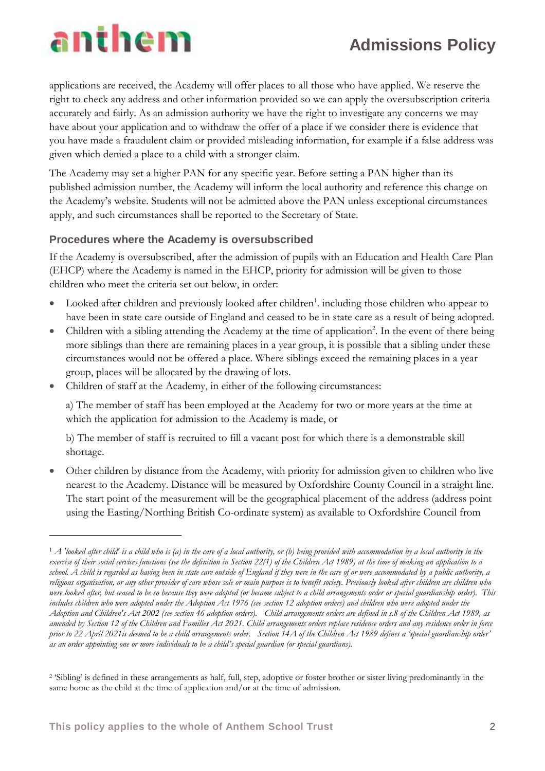## **Admissions Policy**

# anthem

 $\overline{a}$ 

applications are received, the Academy will offer places to all those who have applied. We reserve the right to check any address and other information provided so we can apply the oversubscription criteria accurately and fairly. As an admission authority we have the right to investigate any concerns we may have about your application and to withdraw the offer of a place if we consider there is evidence that you have made a fraudulent claim or provided misleading information, for example if a false address was given which denied a place to a child with a stronger claim.

The Academy may set a higher PAN for any specific year. Before setting a PAN higher than its published admission number, the Academy will inform the local authority and reference this change on the Academy's website. Students will not be admitted above the PAN unless exceptional circumstances apply, and such circumstances shall be reported to the Secretary of State.

#### **Procedures where the Academy is oversubscribed**

If the Academy is oversubscribed, after the admission of pupils with an Education and Health Care Plan (EHCP) where the Academy is named in the EHCP, priority for admission will be given to those children who meet the criteria set out below, in order:

- Looked after children and previously looked after children<sup>1</sup>. including those children who appear to have been in state care outside of England and ceased to be in state care as a result of being adopted*.*
- Children with a sibling attending the Academy at the time of application<sup>2</sup>. In the event of there being more siblings than there are remaining places in a year group, it is possible that a sibling under these circumstances would not be offered a place. Where siblings exceed the remaining places in a year group, places will be allocated by the drawing of lots.
- Children of staff at the Academy, in either of the following circumstances:

a) The member of staff has been employed at the Academy for two or more years at the time at which the application for admission to the Academy is made, or

b) The member of staff is recruited to fill a vacant post for which there is a demonstrable skill shortage.

 Other children by distance from the Academy, with priority for admission given to children who live nearest to the Academy. Distance will be measured by Oxfordshire County Council in a straight line. The start point of the measurement will be the geographical placement of the address (address point using the Easting/Northing British Co-ordinate system) as available to Oxfordshire Council from

<sup>1</sup> *A 'looked after child' is a child who is (a) in the care of a local authority, or (b) being provided with accommodation by a local authority in the exercise of their social services functions (see the definition in Section 22(1) of the Children Act 1989) at the time of making an application to a school. A child is regarded as having been in state care outside of England if they were in the care of or were accommodated by a public authority, a religious organisation, or any other provider of care whose sole or main purpose is to benefit society. Previously looked after children are children who were looked after, but ceased to be so because they were adopted (or became subject to a child arrangements order or special guardianship order). This*  includes children who were adopted under the Adoption Act 1976 (see section 12 adoption orders) and children who were adopted under the *Adoption and Children's Act 2002 (see section 46 adoption orders). Child arrangements orders are defined in s.8 of the Children Act 1989, as amended by Section 12 of the Children and Families Act 2021. Child arrangements orders replace residence orders and any residence order in force prior to 22 April 2021is deemed to be a child arrangements order. Section 14A of the Children Act 1989 defines a 'special guardianship order' as an order appointing one or more individuals to be a child's special guardian (or special guardians).* 

<sup>2</sup> 'Sibling' is defined in these arrangements as half, full, step, adoptive or foster brother or sister living predominantly in the same home as the child at the time of application and/or at the time of admission.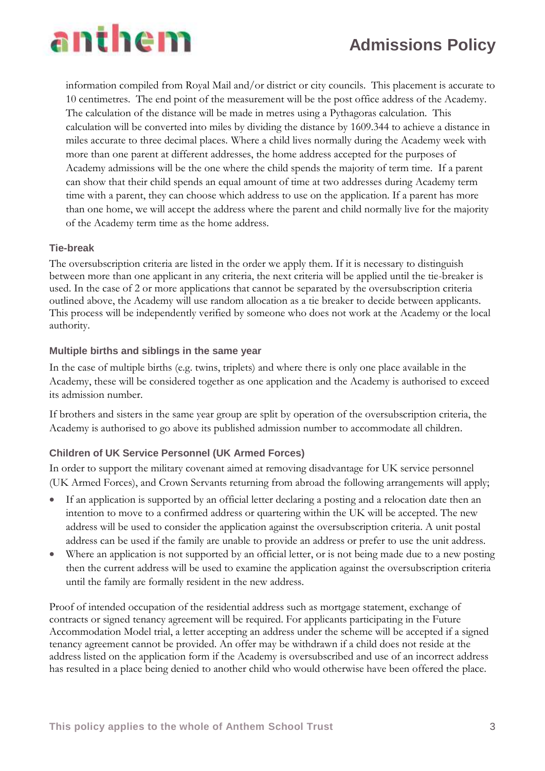## **Admissions Policy**



information compiled from Royal Mail and/or district or city councils. This placement is accurate to 10 centimetres. The end point of the measurement will be the post office address of the Academy. The calculation of the distance will be made in metres using a Pythagoras calculation. This calculation will be converted into miles by dividing the distance by 1609.344 to achieve a distance in miles accurate to three decimal places. Where a child lives normally during the Academy week with more than one parent at different addresses, the home address accepted for the purposes of Academy admissions will be the one where the child spends the majority of term time. If a parent can show that their child spends an equal amount of time at two addresses during Academy term time with a parent, they can choose which address to use on the application. If a parent has more than one home, we will accept the address where the parent and child normally live for the majority of the Academy term time as the home address.

#### **Tie-break**

The oversubscription criteria are listed in the order we apply them. If it is necessary to distinguish between more than one applicant in any criteria, the next criteria will be applied until the tie-breaker is used. In the case of 2 or more applications that cannot be separated by the oversubscription criteria outlined above, the Academy will use random allocation as a tie breaker to decide between applicants. This process will be independently verified by someone who does not work at the Academy or the local authority.

#### **Multiple births and siblings in the same year**

In the case of multiple births (e.g. twins, triplets) and where there is only one place available in the Academy, these will be considered together as one application and the Academy is authorised to exceed its admission number.

If brothers and sisters in the same year group are split by operation of the oversubscription criteria, the Academy is authorised to go above its published admission number to accommodate all children.

#### **Children of UK Service Personnel (UK Armed Forces)**

In order to support the military covenant aimed at removing disadvantage for UK service personnel (UK Armed Forces), and Crown Servants returning from abroad the following arrangements will apply;

- If an application is supported by an official letter declaring a posting and a relocation date then an intention to move to a confirmed address or quartering within the UK will be accepted. The new address will be used to consider the application against the oversubscription criteria. A unit postal address can be used if the family are unable to provide an address or prefer to use the unit address.
- Where an application is not supported by an official letter, or is not being made due to a new posting then the current address will be used to examine the application against the oversubscription criteria until the family are formally resident in the new address.

Proof of intended occupation of the residential address such as mortgage statement, exchange of contracts or signed tenancy agreement will be required. For applicants participating in the Future Accommodation Model trial, a letter accepting an address under the scheme will be accepted if a signed tenancy agreement cannot be provided. An offer may be withdrawn if a child does not reside at the address listed on the application form if the Academy is oversubscribed and use of an incorrect address has resulted in a place being denied to another child who would otherwise have been offered the place.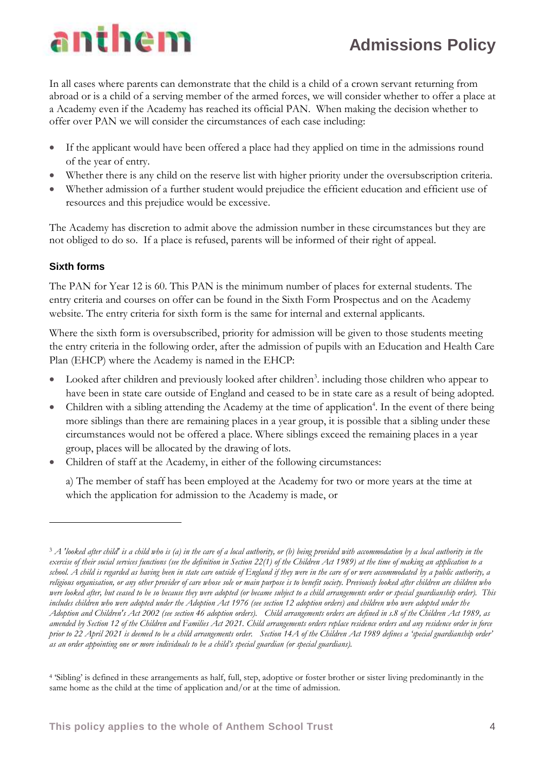# anthem

# **Admissions Policy**

In all cases where parents can demonstrate that the child is a child of a crown servant returning from abroad or is a child of a serving member of the armed forces, we will consider whether to offer a place at a Academy even if the Academy has reached its official PAN. When making the decision whether to offer over PAN we will consider the circumstances of each case including:

- If the applicant would have been offered a place had they applied on time in the admissions round of the year of entry.
- Whether there is any child on the reserve list with higher priority under the oversubscription criteria.
- Whether admission of a further student would prejudice the efficient education and efficient use of resources and this prejudice would be excessive.

The Academy has discretion to admit above the admission number in these circumstances but they are not obliged to do so. If a place is refused, parents will be informed of their right of appeal.

### **Sixth forms**

 $\overline{a}$ 

The PAN for Year 12 is 60. This PAN is the minimum number of places for external students. The entry criteria and courses on offer can be found in the Sixth Form Prospectus and on the Academy website. The entry criteria for sixth form is the same for internal and external applicants.

Where the sixth form is oversubscribed, priority for admission will be given to those students meeting the entry criteria in the following order, after the admission of pupils with an Education and Health Care Plan (EHCP) where the Academy is named in the EHCP:

- Looked after children and previously looked after children<sup>3</sup>. including those children who appear to have been in state care outside of England and ceased to be in state care as a result of being adopted.
- Children with a sibling attending the Academy at the time of application<sup>4</sup>. In the event of there being more siblings than there are remaining places in a year group, it is possible that a sibling under these circumstances would not be offered a place. Where siblings exceed the remaining places in a year group, places will be allocated by the drawing of lots.
- Children of staff at the Academy, in either of the following circumstances:

a) The member of staff has been employed at the Academy for two or more years at the time at which the application for admission to the Academy is made, or

<sup>3</sup> *A 'looked after child' is a child who is (a) in the care of a local authority, or (b) being provided with accommodation by a local authority in the exercise of their social services functions (see the definition in Section 22(1) of the Children Act 1989) at the time of making an application to a school. A child is regarded as having been in state care outside of England if they were in the care of or were accommodated by a public authority, a religious organisation, or any other provider of care whose sole or main purpose is to benefit society. Previously looked after children are children who were looked after, but ceased to be so because they were adopted (or became subject to a child arrangements order or special guardianship order). This includes children who were adopted under the Adoption Act 1976 (see section 12 adoption orders) and children who were adopted under the Adoption and Children's Act 2002 (see section 46 adoption orders). Child arrangements orders are defined in s.8 of the Children Act 1989, as amended by Section 12 of the Children and Families Act 2021. Child arrangements orders replace residence orders and any residence order in force prior to 22 April 2021 is deemed to be a child arrangements order. Section 14A of the Children Act 1989 defines a 'special guardianship order' as an order appointing one or more individuals to be a child's special guardian (or special guardians).* 

<sup>4</sup> 'Sibling' is defined in these arrangements as half, full, step, adoptive or foster brother or sister living predominantly in the same home as the child at the time of application and/or at the time of admission.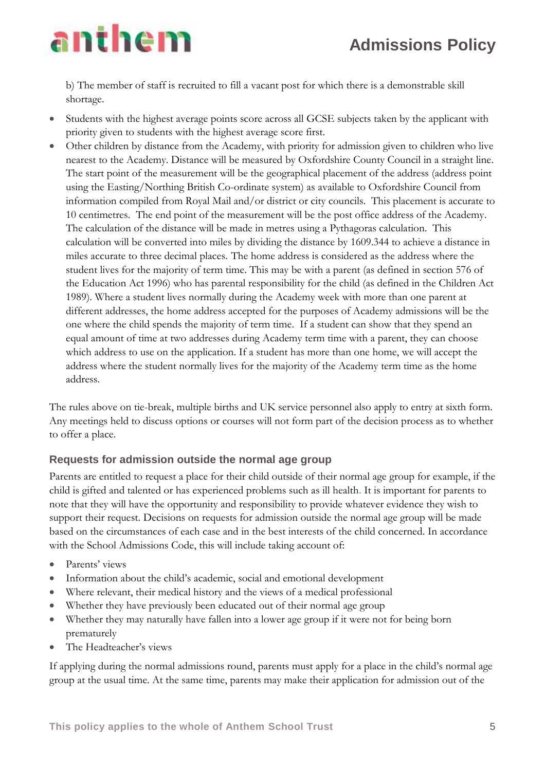# anthem

b) The member of staff is recruited to fill a vacant post for which there is a demonstrable skill shortage.

- Students with the highest average points score across all GCSE subjects taken by the applicant with priority given to students with the highest average score first.
- Other children by distance from the Academy, with priority for admission given to children who live nearest to the Academy. Distance will be measured by Oxfordshire County Council in a straight line. The start point of the measurement will be the geographical placement of the address (address point using the Easting/Northing British Co-ordinate system) as available to Oxfordshire Council from information compiled from Royal Mail and/or district or city councils. This placement is accurate to 10 centimetres. The end point of the measurement will be the post office address of the Academy. The calculation of the distance will be made in metres using a Pythagoras calculation. This calculation will be converted into miles by dividing the distance by 1609.344 to achieve a distance in miles accurate to three decimal places. The home address is considered as the address where the student lives for the majority of term time. This may be with a parent (as defined in section 576 of the Education Act 1996) who has parental responsibility for the child (as defined in the Children Act 1989). Where a student lives normally during the Academy week with more than one parent at different addresses, the home address accepted for the purposes of Academy admissions will be the one where the child spends the majority of term time. If a student can show that they spend an equal amount of time at two addresses during Academy term time with a parent, they can choose which address to use on the application. If a student has more than one home, we will accept the address where the student normally lives for the majority of the Academy term time as the home address.

The rules above on tie-break, multiple births and UK service personnel also apply to entry at sixth form. Any meetings held to discuss options or courses will not form part of the decision process as to whether to offer a place.

### **Requests for admission outside the normal age group**

Parents are entitled to request a place for their child outside of their normal age group for example, if the child is gifted and talented or has experienced problems such as ill health. It is important for parents to note that they will have the opportunity and responsibility to provide whatever evidence they wish to support their request. Decisions on requests for admission outside the normal age group will be made based on the circumstances of each case and in the best interests of the child concerned. In accordance with the School Admissions Code, this will include taking account of:

- Parents' views
- Information about the child's academic, social and emotional development
- Where relevant, their medical history and the views of a medical professional
- Whether they have previously been educated out of their normal age group
- Whether they may naturally have fallen into a lower age group if it were not for being born prematurely
- The Headteacher's views

If applying during the normal admissions round, parents must apply for a place in the child's normal age group at the usual time. At the same time, parents may make their application for admission out of the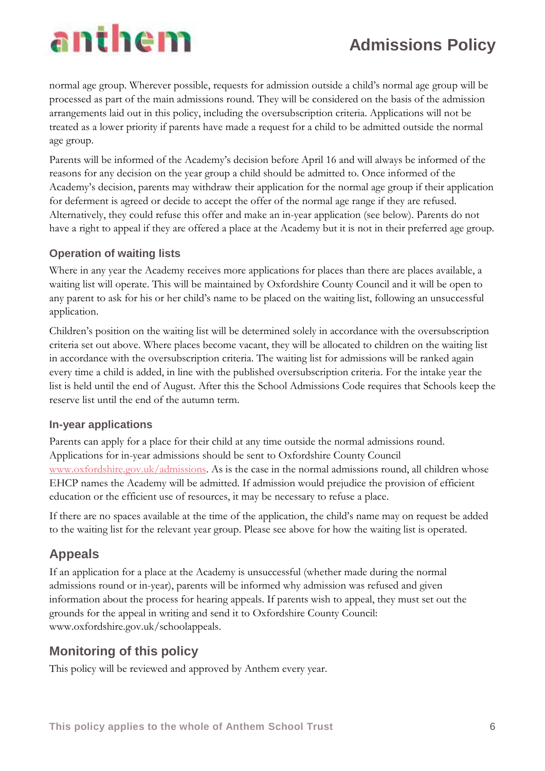# anthem

# **Admissions Policy**

normal age group. Wherever possible, requests for admission outside a child's normal age group will be processed as part of the main admissions round. They will be considered on the basis of the admission arrangements laid out in this policy, including the oversubscription criteria. Applications will not be treated as a lower priority if parents have made a request for a child to be admitted outside the normal age group.

Parents will be informed of the Academy's decision before April 16 and will always be informed of the reasons for any decision on the year group a child should be admitted to. Once informed of the Academy's decision, parents may withdraw their application for the normal age group if their application for deferment is agreed or decide to accept the offer of the normal age range if they are refused. Alternatively, they could refuse this offer and make an in-year application (see below). Parents do not have a right to appeal if they are offered a place at the Academy but it is not in their preferred age group.

### **Operation of waiting lists**

Where in any year the Academy receives more applications for places than there are places available, a waiting list will operate. This will be maintained by Oxfordshire County Council and it will be open to any parent to ask for his or her child's name to be placed on the waiting list, following an unsuccessful application.

Children's position on the waiting list will be determined solely in accordance with the oversubscription criteria set out above. Where places become vacant, they will be allocated to children on the waiting list in accordance with the oversubscription criteria. The waiting list for admissions will be ranked again every time a child is added, in line with the published oversubscription criteria. For the intake year the list is held until the end of August. After this the School Admissions Code requires that Schools keep the reserve list until the end of the autumn term.

### **In-year applications**

Parents can apply for a place for their child at any time outside the normal admissions round. Applications for in-year admissions should be sent to Oxfordshire County Council [www.oxfordshire.gov.uk/admissions.](http://www.oxfordshire.gov.uk/admissions) As is the case in the normal admissions round, all children whose EHCP names the Academy will be admitted. If admission would prejudice the provision of efficient education or the efficient use of resources, it may be necessary to refuse a place.

If there are no spaces available at the time of the application, the child's name may on request be added to the waiting list for the relevant year group. Please see above for how the waiting list is operated.

## **Appeals**

If an application for a place at the Academy is unsuccessful (whether made during the normal admissions round or in-year), parents will be informed why admission was refused and given information about the process for hearing appeals. If parents wish to appeal, they must set out the grounds for the appeal in writing and send it to Oxfordshire County Council: www.oxfordshire.gov.uk/schoolappeals.

## **Monitoring of this policy**

This policy will be reviewed and approved by Anthem every year.